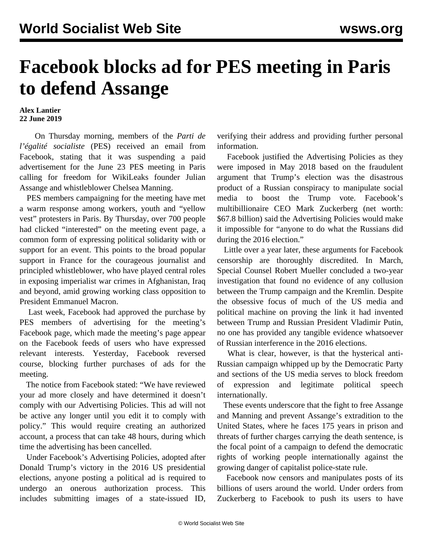## **Facebook blocks ad for PES meeting in Paris to defend Assange**

## **Alex Lantier 22 June 2019**

 On Thursday morning, members of the *Parti de l'égalité socialiste* (PES) received an email from Facebook, stating that it was suspending a paid advertisement for the June 23 PES [meeting](/fr/articles/2019/06/11/assm-j11.html) in Paris calling for freedom for WikiLeaks founder Julian Assange and whistleblower Chelsea Manning.

 PES members campaigning for the meeting have met a warm response among workers, youth and "yellow vest" protesters in Paris. By Thursday, over 700 people had clicked "interested" on the meeting event page, a common form of expressing political solidarity with or support for an event. This points to the broad popular support in France for the courageous journalist and principled whistleblower, who have played central roles in exposing imperialist war crimes in Afghanistan, Iraq and beyond, amid growing working class opposition to President Emmanuel Macron.

 Last week, Facebook had approved the purchase by PES members of advertising for the meeting's Facebook page, which made the meeting's page appear on the Facebook feeds of users who have expressed relevant interests. Yesterday, Facebook reversed course, blocking further purchases of ads for the meeting.

 The notice from Facebook stated: "We have reviewed your ad more closely and have determined it doesn't comply with our Advertising Policies. This ad will not be active any longer until you edit it to comply with policy." This would require creating an authorized account, a process that can take 48 hours, during which time the advertising has been cancelled.

 Under Facebook's Advertising Policies, adopted after Donald Trump's victory in the 2016 US presidential elections, anyone posting a political ad is required to undergo an onerous authorization process. This includes submitting images of a state-issued ID, verifying their address and providing further personal information.

 Facebook justified the Advertising Policies as they were imposed in May 2018 based on the fraudulent argument that Trump's election was the disastrous product of a Russian conspiracy to manipulate social media to boost the Trump vote. Facebook's multibillionaire CEO Mark Zuckerberg (net worth: \$67.8 billion) said the Advertising Policies would make it impossible for "anyone to do what the Russians did during the 2016 election."

 Little over a year later, these arguments for Facebook censorship are thoroughly discredited. In March, Special Counsel Robert Mueller concluded a two-year investigation that found no evidence of any collusion between the Trump campaign and the Kremlin. Despite the obsessive focus of much of the US media and political machine on proving the link it had invented between Trump and Russian President Vladimir Putin, no one has provided any tangible evidence whatsoever of Russian interference in the 2016 elections.

 What is clear, however, is that the hysterical anti-Russian campaign whipped up by the Democratic Party and sections of the US media serves to block freedom of expression and legitimate political speech internationally.

 These events underscore that the fight to free Assange and Manning and prevent Assange's extradition to the United States, where he faces 175 years in prison and threats of further charges carrying the death sentence, is the focal point of a campaign to defend the democratic rights of working people internationally against the growing danger of capitalist police-state rule.

 Facebook now censors and manipulates posts of its billions of users around the world. Under orders from Zuckerberg to Facebook to push its users to have